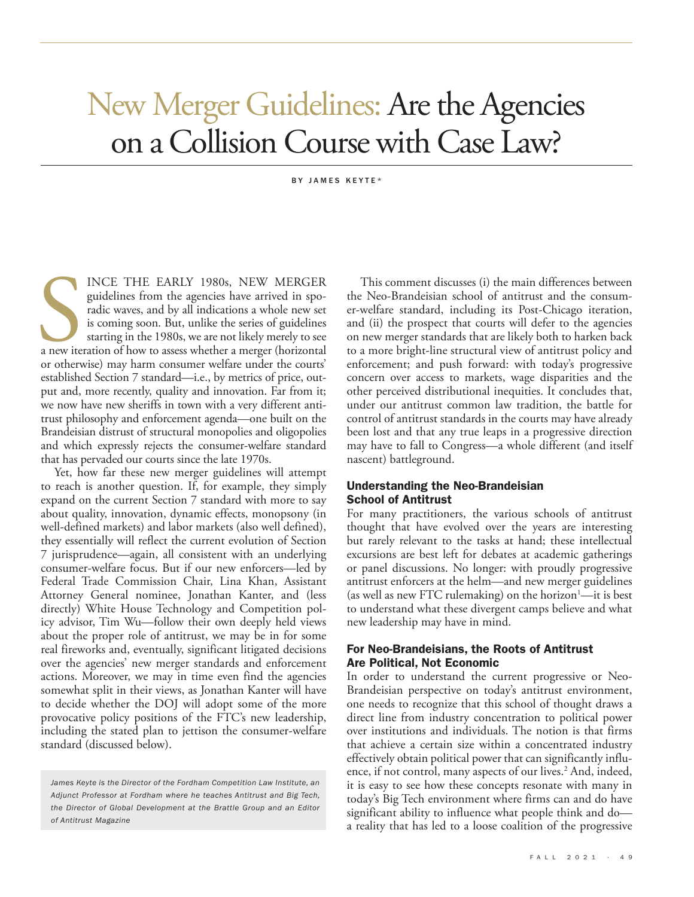# New Merger Guidelines: Are the Agencies on a Collision Course with Case Law?

#### BY JAMES KEYTE\*

a new ite<br>or others INCE THE EARLY 1980s, NEW MERGER guidelines from the agencies have arrived in sporadic waves, and by all indications a whole new set is coming soon. But, unlike the series of guidelines starting in the 1980s, we are not likely merely to see a new iteration of how to assess whether a merger (horizontal or otherwise) may harm consumer welfare under the courts' established Section 7 standard—i.e., by metrics of price, output and, more recently, quality and innovation. Far from it; we now have new sheriffs in town with a very different antitrust philosophy and enforcement agenda—one built on the Brandeisian distrust of structural monopolies and oligopolies and which expressly rejects the consumer-welfare standard that has pervaded our courts since the late 1970s.

Yet, how far these new merger guidelines will attempt to reach is another question. If, for example, they simply expand on the current Section 7 standard with more to say about quality, innovation, dynamic effects, monopsony (in well-defined markets) and labor markets (also well defined), they essentially will reflect the current evolution of Section 7 jurisprudence—again, all consistent with an underlying consumer-welfare focus. But if our new enforcers—led by Federal Trade Commission Chair, Lina Khan, Assistant Attorney General nominee, Jonathan Kanter, and (less directly) White House Technology and Competition policy advisor, Tim Wu—follow their own deeply held views about the proper role of antitrust, we may be in for some real fireworks and, eventually, significant litigated decisions over the agencies' new merger standards and enforcement actions. Moreover, we may in time even find the agencies somewhat split in their views, as Jonathan Kanter will have to decide whether the DOJ will adopt some of the more provocative policy positions of the FTC's new leadership, including the stated plan to jettison the consumer-welfare standard (discussed below).

This comment discusses (i) the main differences between the Neo-Brandeisian school of antitrust and the consumer-welfare standard, including its Post-Chicago iteration, and (ii) the prospect that courts will defer to the agencies on new merger standards that are likely both to harken back to a more bright-line structural view of antitrust policy and enforcement; and push forward: with today's progressive concern over access to markets, wage disparities and the other perceived distributional inequities. It concludes that, under our antitrust common law tradition, the battle for control of antitrust standards in the courts may have already been lost and that any true leaps in a progressive direction may have to fall to Congress—a whole different (and itself nascent) battleground.

## Understanding the Neo-Brandeisian School of Antitrust

For many practitioners, the various schools of antitrust thought that have evolved over the years are interesting but rarely relevant to the tasks at hand; these intellectual excursions are best left for debates at academic gatherings or panel discussions. No longer: with proudly progressive antitrust enforcers at the helm—and new merger guidelines (as well as new FTC rulemaking) on the horizon $-$ it is best to understand what these divergent camps believe and what new leadership may have in mind.

# For Neo-Brandeisians, the Roots of Antitrust Are Political, Not Economic

In order to understand the current progressive or Neo-Brandeisian perspective on today's antitrust environment, one needs to recognize that this school of thought draws a direct line from industry concentration to political power over institutions and individuals. The notion is that firms that achieve a certain size within a concentrated industry effectively obtain political power that can significantly influence, if not control, many aspects of our lives.<sup>2</sup> And, indeed, it is easy to see how these concepts resonate with many in today's Big Tech environment where firms can and do have significant ability to influence what people think and do a reality that has led to a loose coalition of the progressive

*James Keyte is the Director of the Fordham Competition Law Institute, an Adjunct Professor at Fordham where he teaches Antitrust and Big Tech, the Director of Global Development at the Brattle Group and an Editor of Antitrust Magazine*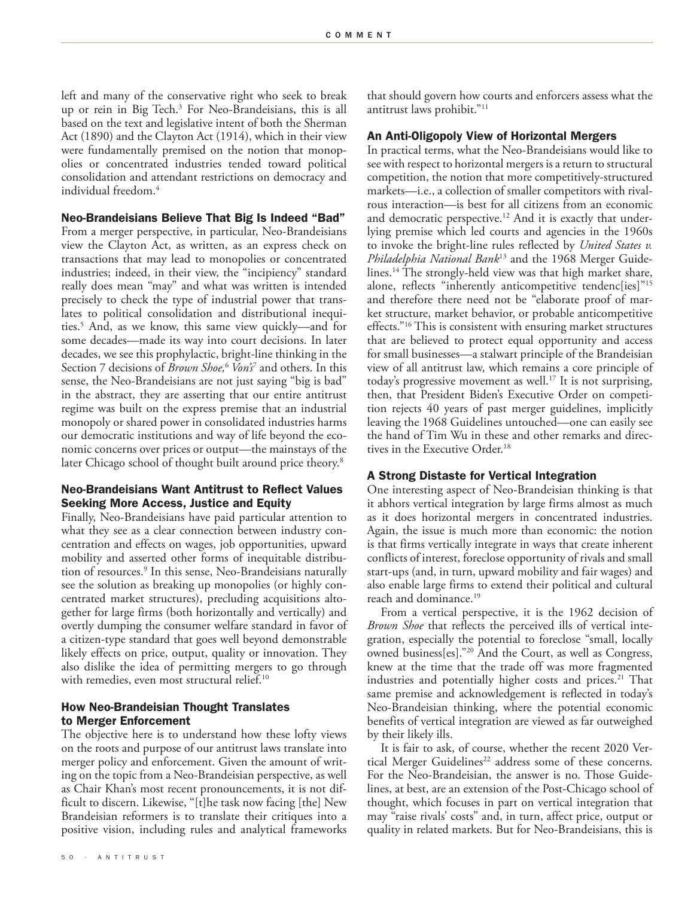left and many of the conservative right who seek to break up or rein in Big Tech.<sup>3</sup> For Neo-Brandeisians, this is all based on the text and legislative intent of both the Sherman Act (1890) and the Clayton Act (1914), which in their view were fundamentally premised on the notion that monopolies or concentrated industries tended toward political consolidation and attendant restrictions on democracy and individual freedom.4

#### Neo-Brandeisians Believe That Big Is Indeed "Bad"

From a merger perspective, in particular, Neo-Brandeisians view the Clayton Act, as written, as an express check on transactions that may lead to monopolies or concentrated industries; indeed, in their view, the "incipiency" standard really does mean "may" and what was written is intended precisely to check the type of industrial power that translates to political consolidation and distributional inequities.5 And, as we know, this same view quickly—and for some decades—made its way into court decisions. In later decades, we see this prophylactic, bright-line thinking in the Section 7 decisions of *Brown Shoe,*<sup>6</sup>  *Von's*<sup>7</sup> and others. In this sense, the Neo-Brandeisians are not just saying "big is bad" in the abstract, they are asserting that our entire antitrust regime was built on the express premise that an industrial monopoly or shared power in consolidated industries harms our democratic institutions and way of life beyond the economic concerns over prices or output—the mainstays of the later Chicago school of thought built around price theory.<sup>8</sup>

# Neo-Brandeisians Want Antitrust to Reflect Values Seeking More Access, Justice and Equity

Finally, Neo-Brandeisians have paid particular attention to what they see as a clear connection between industry concentration and effects on wages, job opportunities, upward mobility and asserted other forms of inequitable distribution of resources.<sup>9</sup> In this sense, Neo-Brandeisians naturally see the solution as breaking up monopolies (or highly concentrated market structures), precluding acquisitions altogether for large firms (both horizontally and vertically) and overtly dumping the consumer welfare standard in favor of a citizen-type standard that goes well beyond demonstrable likely effects on price, output, quality or innovation. They also dislike the idea of permitting mergers to go through with remedies, even most structural relief.<sup>10</sup>

## How Neo-Brandeisian Thought Translates to Merger Enforcement

The objective here is to understand how these lofty views on the roots and purpose of our antitrust laws translate into merger policy and enforcement. Given the amount of writing on the topic from a Neo-Brandeisian perspective, as well as Chair Khan's most recent pronouncements, it is not difficult to discern. Likewise, "[t]he task now facing [the] New Brandeisian reformers is to translate their critiques into a positive vision, including rules and analytical frameworks that should govern how courts and enforcers assess what the antitrust laws prohibit."11

# An Anti-Oligopoly View of Horizontal Mergers

In practical terms, what the Neo-Brandeisians would like to see with respect to horizontal mergers is a return to structural competition, the notion that more competitively-structured markets—i.e., a collection of smaller competitors with rivalrous interaction—is best for all citizens from an economic and democratic perspective.<sup>12</sup> And it is exactly that underlying premise which led courts and agencies in the 1960s to invoke the bright-line rules reflected by *United States v. Philadelphia National Bank*13 and the 1968 Merger Guidelines.<sup>14</sup> The strongly-held view was that high market share, alone, reflects "inherently anticompetitive tendenc[ies]"<sup>15</sup> and therefore there need not be "elaborate proof of market structure, market behavior, or probable anticompetitive effects."16 This is consistent with ensuring market structures that are believed to protect equal opportunity and access for small businesses—a stalwart principle of the Brandeisian view of all antitrust law, which remains a core principle of today's progressive movement as well.<sup>17</sup> It is not surprising, then, that President Biden's Executive Order on competition rejects 40 years of past merger guidelines, implicitly leaving the 1968 Guidelines untouched—one can easily see the hand of Tim Wu in these and other remarks and directives in the Executive Order.<sup>18</sup>

# A Strong Distaste for Vertical Integration

One interesting aspect of Neo-Brandeisian thinking is that it abhors vertical integration by large firms almost as much as it does horizontal mergers in concentrated industries. Again, the issue is much more than economic: the notion is that firms vertically integrate in ways that create inherent conflicts of interest, foreclose opportunity of rivals and small start-ups (and, in turn, upward mobility and fair wages) and also enable large firms to extend their political and cultural reach and dominance.19

From a vertical perspective, it is the 1962 decision of *Brown Shoe* that reflects the perceived ills of vertical integration, especially the potential to foreclose "small, locally owned business[es]."20 And the Court, as well as Congress, knew at the time that the trade off was more fragmented industries and potentially higher costs and prices.<sup>21</sup> That same premise and acknowledgement is reflected in today's Neo-Brandeisian thinking, where the potential economic benefits of vertical integration are viewed as far outweighed by their likely ills.

It is fair to ask, of course, whether the recent 2020 Vertical Merger Guidelines<sup>22</sup> address some of these concerns. For the Neo-Brandeisian, the answer is no. Those Guidelines, at best, are an extension of the Post-Chicago school of thought, which focuses in part on vertical integration that may "raise rivals' costs" and, in turn, affect price, output or quality in related markets. But for Neo-Brandeisians, this is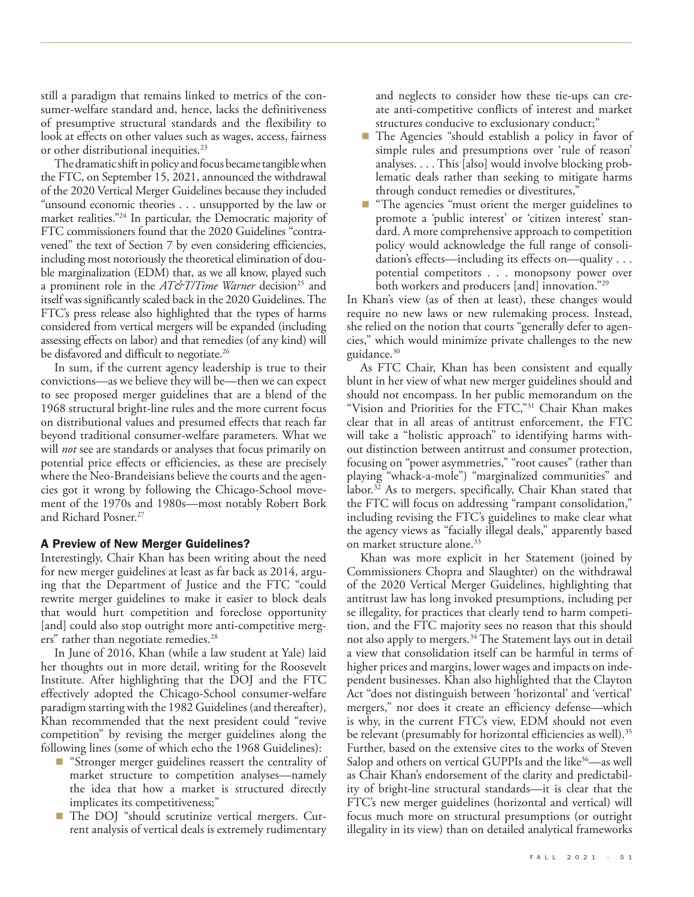still a paradigm that remains linked to metrics of the consumer-welfare standard and, hence, lacks the definitiveness of presumptive structural standards and the flexibility to look at effects on other values such as wages, access, fairness or other distributional inequities.<sup>23</sup>

The dramatic shift in policy and focus became tangible when the FTC, on September 15, 2021, announced the withdrawal of the 2020 Vertical Merger Guidelines because they included "unsound economic theories . . . unsupported by the law or market realities."24 In particular, the Democratic majority of FTC commissioners found that the 2020 Guidelines "contravened" the text of Section 7 by even considering efficiencies, including most notoriously the theoretical elimination of double marginalization (EDM) that, as we all know, played such a prominent role in the *AT&T/Time Warner* decision<sup>25</sup> and itself was significantly scaled back in the 2020 Guidelines. The FTC's press release also highlighted that the types of harms considered from vertical mergers will be expanded (including assessing effects on labor) and that remedies (of any kind) will be disfavored and difficult to negotiate.<sup>26</sup>

In sum, if the current agency leadership is true to their convictions—as we believe they will be—then we can expect to see proposed merger guidelines that are a blend of the 1968 structural bright-line rules and the more current focus on distributional values and presumed effects that reach far beyond traditional consumer-welfare parameters. What we will *not* see are standards or analyses that focus primarily on potential price effects or efficiencies, as these are precisely where the Neo-Brandeisians believe the courts and the agencies got it wrong by following the Chicago-School movement of the 1970s and 1980s—most notably Robert Bork and Richard Posner.<sup>27</sup>

# A Preview of New Merger Guidelines?

Interestingly, Chair Khan has been writing about the need for new merger guidelines at least as far back as 2014, arguing that the Department of Justice and the FTC "could rewrite merger guidelines to make it easier to block deals that would hurt competition and foreclose opportunity [and] could also stop outright more anti-competitive mergers" rather than negotiate remedies.<sup>28</sup>

In June of 2016, Khan (while a law student at Yale) laid her thoughts out in more detail, writing for the Roosevelt Institute. After highlighting that the DOJ and the FTC effectively adopted the Chicago-School consumer-welfare paradigm starting with the 1982 Guidelines (and thereafter), Khan recommended that the next president could "revive competition" by revising the merger guidelines along the following lines (some of which echo the 1968 Guidelines):

- "Stronger merger guidelines reassert the centrality of market structure to competition analyses—namely the idea that how a market is structured directly implicates its competitiveness;"
- The DOJ "should scrutinize vertical mergers. Current analysis of vertical deals is extremely rudimentary

and neglects to consider how these tie-ups can create anti-competitive conflicts of interest and market structures conducive to exclusionary conduct;"

- The Agencies "should establish a policy in favor of simple rules and presumptions over 'rule of reason' analyses. . . . This [also] would involve blocking problematic deals rather than seeking to mitigate harms through conduct remedies or divestitures,"
- "The agencies "must orient the merger guidelines to promote a 'public interest' or 'citizen interest' standard. A more comprehensive approach to competition policy would acknowledge the full range of consolidation's effects—including its effects on—quality . . . potential competitors . . . monopsony power over both workers and producers [and] innovation."29

In Khan's view (as of then at least), these changes would require no new laws or new rulemaking process. Instead, she relied on the notion that courts "generally defer to agencies," which would minimize private challenges to the new guidance.<sup>30</sup>

As FTC Chair, Khan has been consistent and equally blunt in her view of what new merger guidelines should and should not encompass. In her public memorandum on the "Vision and Priorities for the FTC,"31 Chair Khan makes clear that in all areas of antitrust enforcement, the FTC will take a "holistic approach" to identifying harms without distinction between antitrust and consumer protection, focusing on "power asymmetries," "root causes" (rather than playing "whack-a-mole") "marginalized communities" and labor.<sup>32</sup> As to mergers, specifically, Chair Khan stated that the FTC will focus on addressing "rampant consolidation," including revising the FTC's guidelines to make clear what the agency views as "facially illegal deals," apparently based on market structure alone.<sup>33</sup>

Khan was more explicit in her Statement (joined by Commissioners Chopra and Slaughter) on the withdrawal of the 2020 Vertical Merger Guidelines, highlighting that antitrust law has long invoked presumptions, including per se illegality, for practices that clearly tend to harm competition, and the FTC majority sees no reason that this should not also apply to mergers.<sup>34</sup> The Statement lays out in detail a view that consolidation itself can be harmful in terms of higher prices and margins, lower wages and impacts on independent businesses. Khan also highlighted that the Clayton Act "does not distinguish between 'horizontal' and 'vertical' mergers," nor does it create an efficiency defense—which is why, in the current FTC's view, EDM should not even be relevant (presumably for horizontal efficiencies as well).<sup>35</sup> Further, based on the extensive cites to the works of Steven Salop and others on vertical GUPPIs and the like<sup>36</sup>—as well as Chair Khan's endorsement of the clarity and predictability of bright-line structural standards—it is clear that the FTC's new merger guidelines (horizontal and vertical) will focus much more on structural presumptions (or outright illegality in its view) than on detailed analytical frameworks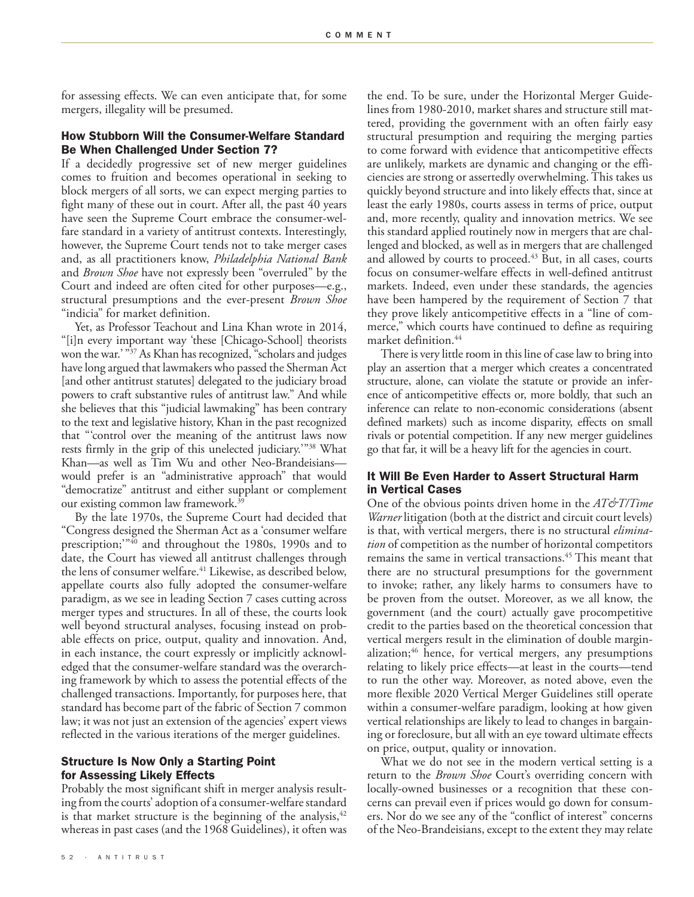for assessing effects. We can even anticipate that, for some mergers, illegality will be presumed.

# How Stubborn Will the Consumer-Welfare Standard Be When Challenged Under Section 7?

If a decidedly progressive set of new merger guidelines comes to fruition and becomes operational in seeking to block mergers of all sorts, we can expect merging parties to fight many of these out in court. After all, the past 40 years have seen the Supreme Court embrace the consumer-welfare standard in a variety of antitrust contexts. Interestingly, however, the Supreme Court tends not to take merger cases and, as all practitioners know, *Philadelphia National Bank* and *Brown Shoe* have not expressly been "overruled" by the Court and indeed are often cited for other purposes—e.g., structural presumptions and the ever-present *Brown Shoe* "indicia" for market definition.

Yet, as Professor Teachout and Lina Khan wrote in 2014, "[i]n every important way 'these [Chicago-School] theorists won the war.' "37 As Khan has recognized, "scholars and judges have long argued that lawmakers who passed the Sherman Act [and other antitrust statutes] delegated to the judiciary broad powers to craft substantive rules of antitrust law." And while she believes that this "judicial lawmaking" has been contrary to the text and legislative history, Khan in the past recognized that "'control over the meaning of the antitrust laws now rests firmly in the grip of this unelected judiciary.'"38 What Khan—as well as Tim Wu and other Neo-Brandeisians would prefer is an "administrative approach" that would "democratize" antitrust and either supplant or complement our existing common law framework. $39$ 

By the late 1970s, the Supreme Court had decided that "Congress designed the Sherman Act as a 'consumer welfare prescription;<sup>"40</sup> and throughout the 1980s, 1990s and to date, the Court has viewed all antitrust challenges through the lens of consumer welfare.<sup>41</sup> Likewise, as described below, appellate courts also fully adopted the consumer-welfare paradigm, as we see in leading Section 7 cases cutting across merger types and structures. In all of these, the courts look well beyond structural analyses, focusing instead on probable effects on price, output, quality and innovation. And, in each instance, the court expressly or implicitly acknowledged that the consumer-welfare standard was the overarching framework by which to assess the potential effects of the challenged transactions. Importantly, for purposes here, that standard has become part of the fabric of Section 7 common law; it was not just an extension of the agencies' expert views reflected in the various iterations of the merger guidelines.

# Structure Is Now Only a Starting Point for Assessing Likely Effects

Probably the most significant shift in merger analysis resulting from the courts' adoption of a consumer-welfare standard is that market structure is the beginning of the analysis,  $42$ whereas in past cases (and the 1968 Guidelines), it often was

the end. To be sure, under the Horizontal Merger Guidelines from 1980-2010, market shares and structure still mattered, providing the government with an often fairly easy structural presumption and requiring the merging parties to come forward with evidence that anticompetitive effects are unlikely, markets are dynamic and changing or the efficiencies are strong or assertedly overwhelming. This takes us quickly beyond structure and into likely effects that, since at least the early 1980s, courts assess in terms of price, output and, more recently, quality and innovation metrics. We see this standard applied routinely now in mergers that are challenged and blocked, as well as in mergers that are challenged and allowed by courts to proceed.<sup>43</sup> But, in all cases, courts focus on consumer-welfare effects in well-defined antitrust markets. Indeed, even under these standards, the agencies have been hampered by the requirement of Section 7 that they prove likely anticompetitive effects in a "line of commerce," which courts have continued to define as requiring market definition.<sup>44</sup>

There is very little room in this line of case law to bring into play an assertion that a merger which creates a concentrated structure, alone, can violate the statute or provide an inference of anticompetitive effects or, more boldly, that such an inference can relate to non-economic considerations (absent defined markets) such as income disparity, effects on small rivals or potential competition. If any new merger guidelines go that far, it will be a heavy lift for the agencies in court.

# It Will Be Even Harder to Assert Structural Harm in Vertical Cases

One of the obvious points driven home in the *AT&T/Time Warner* litigation (both at the district and circuit court levels) is that, with vertical mergers, there is no structural *elimination* of competition as the number of horizontal competitors remains the same in vertical transactions.<sup>45</sup> This meant that there are no structural presumptions for the government to invoke; rather, any likely harms to consumers have to be proven from the outset. Moreover, as we all know, the government (and the court) actually gave procompetitive credit to the parties based on the theoretical concession that vertical mergers result in the elimination of double marginalization;<sup>46</sup> hence, for vertical mergers, any presumptions relating to likely price effects—at least in the courts—tend to run the other way. Moreover, as noted above, even the more flexible 2020 Vertical Merger Guidelines still operate within a consumer-welfare paradigm, looking at how given vertical relationships are likely to lead to changes in bargaining or foreclosure, but all with an eye toward ultimate effects on price, output, quality or innovation.

What we do not see in the modern vertical setting is a return to the *Brown Shoe* Court's overriding concern with locally-owned businesses or a recognition that these concerns can prevail even if prices would go down for consumers. Nor do we see any of the "conflict of interest" concerns of the Neo-Brandeisians, except to the extent they may relate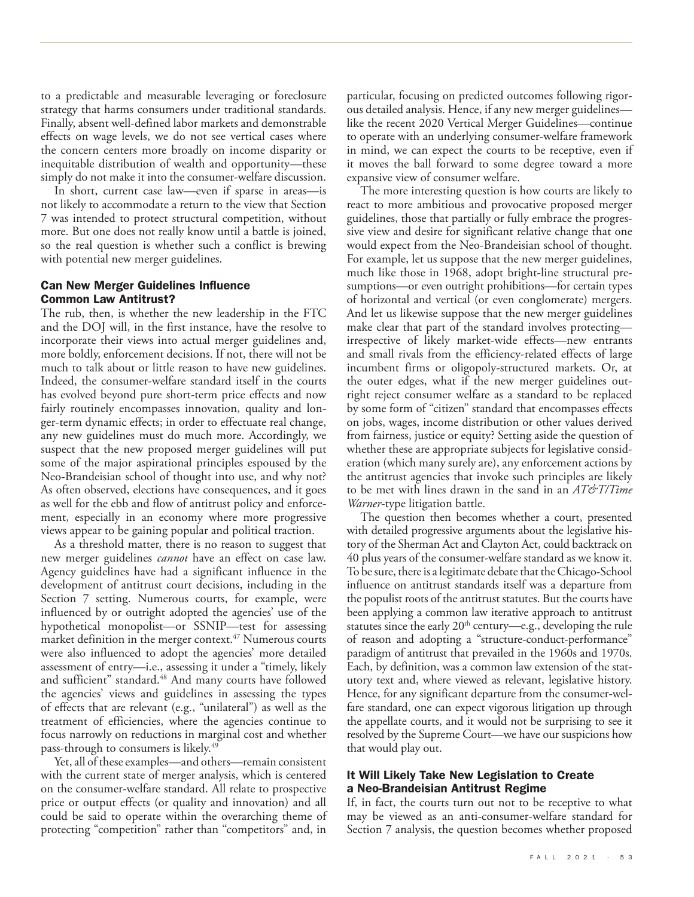to a predictable and measurable leveraging or foreclosure strategy that harms consumers under traditional standards. Finally, absent well-defined labor markets and demonstrable effects on wage levels, we do not see vertical cases where the concern centers more broadly on income disparity or inequitable distribution of wealth and opportunity—these simply do not make it into the consumer-welfare discussion.

In short, current case law—even if sparse in areas—is not likely to accommodate a return to the view that Section 7 was intended to protect structural competition, without more. But one does not really know until a battle is joined, so the real question is whether such a conflict is brewing with potential new merger guidelines.

# Can New Merger Guidelines Influence Common Law Antitrust?

The rub, then, is whether the new leadership in the FTC and the DOJ will, in the first instance, have the resolve to incorporate their views into actual merger guidelines and, more boldly, enforcement decisions. If not, there will not be much to talk about or little reason to have new guidelines. Indeed, the consumer-welfare standard itself in the courts has evolved beyond pure short-term price effects and now fairly routinely encompasses innovation, quality and longer-term dynamic effects; in order to effectuate real change, any new guidelines must do much more. Accordingly, we suspect that the new proposed merger guidelines will put some of the major aspirational principles espoused by the Neo-Brandeisian school of thought into use, and why not? As often observed, elections have consequences, and it goes as well for the ebb and flow of antitrust policy and enforcement, especially in an economy where more progressive views appear to be gaining popular and political traction.

As a threshold matter, there is no reason to suggest that new merger guidelines *cannot* have an effect on case law. Agency guidelines have had a significant influence in the development of antitrust court decisions, including in the Section 7 setting. Numerous courts, for example, were influenced by or outright adopted the agencies' use of the hypothetical monopolist—or SSNIP—test for assessing market definition in the merger context. $47$  Numerous courts were also influenced to adopt the agencies' more detailed assessment of entry—i.e., assessing it under a "timely, likely and sufficient" standard.<sup>48</sup> And many courts have followed the agencies' views and guidelines in assessing the types of effects that are relevant (e.g., "unilateral") as well as the treatment of efficiencies, where the agencies continue to focus narrowly on reductions in marginal cost and whether pass-through to consumers is likely.49

Yet, all of these examples—and others—remain consistent with the current state of merger analysis, which is centered on the consumer-welfare standard. All relate to prospective price or output effects (or quality and innovation) and all could be said to operate within the overarching theme of protecting "competition" rather than "competitors" and, in

particular, focusing on predicted outcomes following rigorous detailed analysis. Hence, if any new merger guidelines like the recent 2020 Vertical Merger Guidelines—continue to operate with an underlying consumer-welfare framework in mind, we can expect the courts to be receptive, even if it moves the ball forward to some degree toward a more expansive view of consumer welfare.

The more interesting question is how courts are likely to react to more ambitious and provocative proposed merger guidelines, those that partially or fully embrace the progressive view and desire for significant relative change that one would expect from the Neo-Brandeisian school of thought. For example, let us suppose that the new merger guidelines, much like those in 1968, adopt bright-line structural presumptions—or even outright prohibitions—for certain types of horizontal and vertical (or even conglomerate) mergers. And let us likewise suppose that the new merger guidelines make clear that part of the standard involves protecting irrespective of likely market-wide effects—new entrants and small rivals from the efficiency-related effects of large incumbent firms or oligopoly-structured markets. Or, at the outer edges, what if the new merger guidelines outright reject consumer welfare as a standard to be replaced by some form of "citizen" standard that encompasses effects on jobs, wages, income distribution or other values derived from fairness, justice or equity? Setting aside the question of whether these are appropriate subjects for legislative consideration (which many surely are), any enforcement actions by the antitrust agencies that invoke such principles are likely to be met with lines drawn in the sand in an *AT&T/Time Warner*-type litigation battle.

The question then becomes whether a court, presented with detailed progressive arguments about the legislative history of the Sherman Act and Clayton Act, could backtrack on 40 plus years of the consumer-welfare standard as we know it. To be sure, there is a legitimate debate that the Chicago-School influence on antitrust standards itself was a departure from the populist roots of the antitrust statutes. But the courts have been applying a common law iterative approach to antitrust statutes since the early 20<sup>th</sup> century—e.g., developing the rule of reason and adopting a "structure-conduct-performance" paradigm of antitrust that prevailed in the 1960s and 1970s. Each, by definition, was a common law extension of the statutory text and, where viewed as relevant, legislative history. Hence, for any significant departure from the consumer-welfare standard, one can expect vigorous litigation up through the appellate courts, and it would not be surprising to see it resolved by the Supreme Court—we have our suspicions how that would play out.

# It Will Likely Take New Legislation to Create a Neo-Brandeisian Antitrust Regime

If, in fact, the courts turn out not to be receptive to what may be viewed as an anti-consumer-welfare standard for Section 7 analysis, the question becomes whether proposed